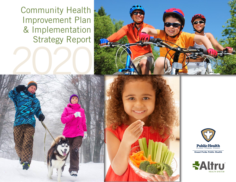Community Health Improvement Plan & Implementation Strategy Report









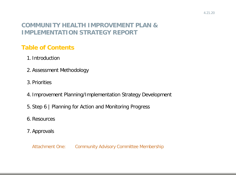# **COMMUNITY HEALTH IMPROVEMENT PLAN & IMPLEMENTATION STRATEGY REPORT**

# **Table of Contents**

- 1. Introduction
- 2. Assessment Methodology
- 3. Priorities
- 4. Improvement Planning/Implementation Strategy Development
- 5. Step 6 | Planning for Action and Monitoring Progress
- 6. Resources
- 7. Approvals

Attachment One: Community Advisory Committee Membership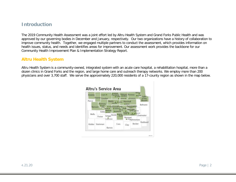### **Introduction**

The 2019 Community Health Assessment was a joint effort led by Altru Health System and Grand Forks Public Health and was approved by our governing bodies in December and January, respectively. Our two organizations have a history of collaboration to improve community health. Together, we engaged multiple partners to conduct the assessment, which provides information on health issues, status, and needs and identifies areas for improvement. Our assessment work provides the backbone for our Community Health Improvement Plan & Implementation Strategy Report.

### **Altru Health System**

Altru Health System is a community-owned, integrated system with an acute care hospital, a rehabilitation hospital, more than a dozen clinics in Grand Forks and the region, and large home care and outreach therapy networks. We employ more than 200 physicians and over 3,700 staff. We serve the approximately 220,000 residents of a 17-county region as shown in the map below.

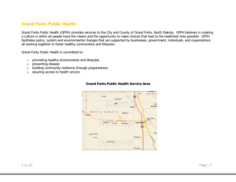### **Grand Forks Public Health**

Grand Forks Public Health (GFPH) provides services to the City and County of Grand Forks, North Dakota. GFPH believes in creating a culture in which all people have the means and the opportunity to make choices that lead to the healthiest lives possible. GFPH facilitates policy, system and environmental changes that are supported by businesses, government, individuals, and organizations all working together to foster healthy communities and lifestyles.

Grand Forks Public Health is committed to:

- » promoting healthy environments and lifestyles
- » preventing disease
- » building community resilience through preparedness
- » assuring access to health service



#### **Grand Forks Public Health Service Area**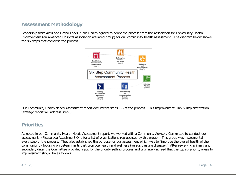# **Assessment Methodology**

Leadership from Altru and Grand Forks Public Health agreed to adopt the process from the Association for Community Health Improvement (an American Hospital Association affiliated group) for our community health assessment. The diagram below shows the six steps that comprise the process.



Our Community Health Needs Assessment report documents steps 1-5 of the process. This Improvement Plan & Implementation Strategy report will address step 6.

### **Priorities**

As noted in our Community Health Needs Assessment report, we worked with a Community Advisory Committee to conduct our assessment. (Please see Attachment One for a list of organizations represented by this group.) This group was instrumental in every step of the process. They also established the purpose for our assessment which was to "improve the overall health of the community by focusing on determinants that promote health and wellness (versus treating disease)." After reviewing primary and secondary data, the Committee provided input for the priority setting process and ultimately agreed that the top six priority areas for improvement should be as follows: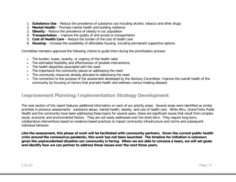- 1. **Substance Use**  Reduce the prevalence of substance use including alcohol, tobacco and other drugs
- 2. **Mental Health**  Promote mental health and building resilience
- 3. **Obesity**  Reduce the prevalence of obesity in our population
- 4. **Transportation** Improve the quality of and access to transportation
- 5. **Cost of Health Care**  Reduce the burden of the cost of health care
- 6. **Housing**  Increase the availability of affordable housing, including permanent supportive options.

Committee members approved the following criteria to guide them during the prioritization process:

- » The burden, scope, severity, or urgency of the health need
- » The estimated feasibility and effectiveness of possible interventions
- » The health disparities associated with the need
- » The importance the community places on addressing the need
- » The community resources already allocated to addressing the need
- » The connection to the purpose of the assessment developed by the Advisory Committee: Improve the overall health of the community by focusing on factors that promote health and wellness (versus treating disease)

### **Improvement Planning/Implementation Strategy Development**

The next section of this report features additional information on each of our priority areas. Several areas were identified as similar priorities in previous assessments: substance abuse, mental health, obesity, and cost of health care. While Altru, Grand Forks Public Health and the community have been addressing these topics for several years, these are significant issues that result from complex social, economic and environmental factors. They are not easily addressed over the short-term. They require long-term, collaborative interventions based on evidence-based practices to impact community infrastructure and norms and subsequent individual behavior.

**Like the assessment, this phase of work will be facilitated with community partners. Given the current public health crisis around the coronavirus pandemic, this work has not been launched. The timeline for initiation is unknown given the unprecedented situation our community is facing. When we are able to convene a team, we will set goals and identify how we can partner to address these issues over the next three years.**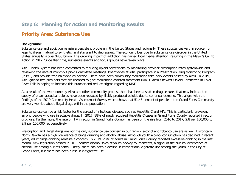# **Step 6: Planning for Action and Monitoring Results**

# **Priority Area: Substance Use**

#### **Background:**

Substance use and addiction remain a persistent problem in the United States and regionally. These substances vary in source from legal to illegal, natural to synthetic, and stimulant to depressant. The economic loss due to substance use disorder in the United States annually is over \$400 billion. The growing impact of addiction has gained local media attention, resulting in the Mayor's Call to Action in 2017. Since that time, numerous events and focus groups have taken place.

Altru Health System has been committed to reducing opioid perceptions by monitoring provider prescription rates systemwide and reviewing the data at monthly Opioid Committee meetings. Pharmacies at Altru participate in a Prescription Drug Monitoring Program (PDMP) and provide free naloxone as needed. There have been community medication take back events hosted by Altru. In 2019, Altru gained two providers that are licensed to give medication assisted treatment (MAT). Altru's newest Opioid Committee in Thief River Falls is hoping to increase this number and reduce stigma regarding MAT.

As a result of the work done by Altru and other community groups, there has been a shift in drug seizures that may indicate the supply of pharmaceutical opioids have been replaced by illicitly produced opioids due to continual demand. This aligns with the findings of the 2019 Community Health Assessment Survey which shows that 51.46 percent of people in the Grand Forks Community are very worried about illegal drugs within the population.

Substance use can be a risk factor for the spread of infectious disease, such as Hepatitis C and HIV. This is particularly prevalent among people who use injectable drugs. In 2017, 88% of newly acquired Hepatitis C cases in Grand Forks County reported injection drug use. Furthermore, the rate of HIV infection in Grand Forks County has been on the rise from 2016 to 2017; 2.8 per 100,000 to 9.9 per 100,000 retrospectively.

Prescription and illegal drugs are not the only substance use concern in our region; alcohol and tobacco use are as well. Historically, North Dakota has a high prevalence of binge drinking and alcohol abuse. Although youth alcohol consumption has declined in recent years, adult binge drinking remains a concern. In 2019, 26% of adults in Grand Forks County reported excessive drinking in the last month. New legislation passed in 2019 permits alcohol sales at youth hockey tournaments, a signal of the cultural acceptance of alcohol use among our residents. Lastly, there has been a decline in conventional cigarette use among the youth in the City of Grand Forks, but there has been a rise in e-cigarette use.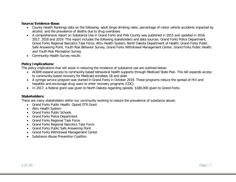#### **Source/Evidence-Base:**

- County Health Rankings data on the following: adult binge drinking rates, percentage of motor vehicle accidents impacted by alcohol, and the prevalence of deaths due to drug overdoses
- A comprehensive report on Substance Use in Grand Forks and Polk County was published in 2015 and updated in 2016, 2017, 2018 and 2019. This report includes the following stakeholders and data sources: Grand Forks Police Department, Grand Forks Regional Narcotics Task Force, Altru Health System, North Dakota Department of Health, Grand Forks Public Safe Answering Point, Youth Risk Behavior Survey, Grand Forks Withdrawal Management Center, Grand Forks Public Health, and Youth Risk Perception Survey
- Community Health Survey results

#### **Policy Implications:**

The policy implications that will assist in reducing the incidence of substance use are outlined below:

- AC609 expand access to community-based behavioral health supports through Medicaid State Plan. This bill expands access to community-based recovery for Medicaid enrollees 18 and older.
- A syringe service program was started in Grand Forks in October 2019. These programs reduce the spread of HIV and hepatitis and encourage drug users to enter recovery programs (CDC).
- In 2017, a federal grant was given to North Dakota regarding opioids; \$180,000 given to Grand Forks.

#### **Stakeholders:**

There are many stakeholders within our community working to reduce the prevalence of substance abuse:

- Grand Forks Public Health: Opioid STR Grant
- Altru Health System
- Grand Forks Public Schools
- Grand Forks Police Department
- Grand Forks Regional Task Force
- Grand Forks Regional Narcotics Task Force
- Grand Forks Public Safe Answering Point
- Grand Forks Withdrawal Management Center
- Substance Abuse Prevention Coalition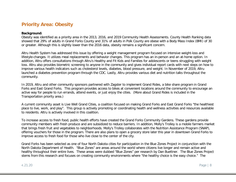# **Priority Area: Obesity**

#### **Background:**

Obesity was identified as a priority area in the 2013, 2016, and 2019 Community Health Assessments. County Health Ranking data showed that 29% of adults in Grand Forks County and 31% of adults in Polk County are obese with a Body Mass Index (BMI) of 30 or greater. Although this is slightly lower than the 2016 data, obesity remains a significant concern.

Altru Health System has addressed this issue by offering a weight management program focused on intensive weight-loss and lifestyle-changes. It utilizes meal replacements and behavior changes. This program has an in-person and an at-home option. In addition, Altru offers consultations through Altru's Healthy and Fit Kids and Families for adolescents or teens struggling with weight loss. Altru also provides biometric screening to anyone in the community and gives individual report cards with next steps on how to improve various health indicators such as cholesterol levels, diabetes, blood pressure, and weight. In November of 2019, Altru launched a diabetes prevention program through the CDC. Lastly, Altru provides various diet and nutrition talks throughout the community.

In 2019, Altru and other community sponsors partnered with Zagster to implement Grand Rides, a bike share program in Grand Forks and East Grand Forks. This program provides access to bikes at convenient locations around the community to encourage an active way for people to run errands, attend events, or just enjoy the cities. (More about Grand Rides is included in the Transportation priority area.)

A current community asset is Live Well Grand Cities, a coalition focused on making Grand Forks and East Grand Forks "the healthiest place to live, work, and play". This group is actively promoting or coordinating health and wellness activities and resources available to residents. Altru is actively involved in this coalition.

To increase access to fresh food, public health efforts have created the Grand Forks Community Gardens. These gardens provide community members with fresh produce and are subsidized to reduce barriers. In addition, Molly's Trolley is a mobile farmers market that brings fresh fruit and vegetables to neighborhoods. Molly's Trolley collaborates with the Nutrition Assistance Program (SNAP), offering vouchers for those in the program. There are also plans to open a grocery store later this year in downtown Grand Forks to improve access to fresh food for those who live close to the center of the city.

Grand Forks has been selected as one of four North Dakota cities for participation in the Blue Zones Project in conjunction with the North Dakota Department of Health. "Blue Zones" are areas around the world where citizens live longer and remain active and healthy throughout their entire lives. These areas were dubbed "Blue Zones" per research by Dan Buettner. The Blue Zones Project stems from this research and focuses on creating community environments where "the healthy choice is the easy choice." The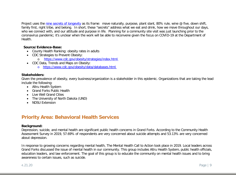Project uses the [nine secrets of longevity](https://www.bluezonesproject.com/) as its frame: move naturally, purpose, plant slant, 80% rule, wine @ five, down shift, family first, right tribe, and belong. In short, these "secrets" address what we eat and drink, how we move throughout our days, who we connect with, and our attitude and purpose in life. Planning for a community site visit was just launching prior to the coronavirus pandemic; it's unclear when the work will be able to reconvene given the focus on COVID-19 at the Department of Health.

#### **Source/Evidence-Base:**

- County Health Ranking: obesity rates in adults
- CDC Strategies to Prevent Obesity:
	- o <https://www.cdc.gov/obesity/strategies/index.html>
- CDC Data, Trends and Maps on Obesity: o <https://www.cdc.gov/obesity/data/databases.html>

#### **Stakeholders:**

Given the prevalence of obesity, every business/organization is a stakeholder in this epidemic. Organizations that are taking the lead include the following:

- Altru Health System
- Grand Forks Public Health
- Live Well Grand Cities
- The University of North Dakota (UND)
- NDSU Extension

### **Priority Area: Behavioral Health Services**

#### **Background:**

Depression, suicide, and mental health are significant public health concerns in Grand Forks. According to the Community Health Assessment Survey in 2019, 57.69% of respondents are very concerned about suicide attempts and 53.13% are very concerned about depression.

In response to growing concerns regarding mental health, The Mental Health Call to Action took place in 2019. Local leaders across Grand Forks discussed the issue of mental health in our community. This group includes Altru Health System, public health officials, education leaders, and law enforcement. The goal of this group is to educate the community on mental health issues and to bring awareness to certain issues, such as suicide.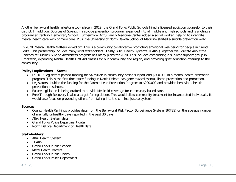Another behavioral health milestone took place in 2019; the Grand Forks Public Schools hired a licensed addiction counselor to their district. In addition, Sources of Strength, a suicide prevention program, expanded into all middle and high schools and is piloting a program at Century Elementary School. Furthermore, Altru Family Medicine Center added a social worker, helping to integrate mental health care with primary care. Plus, the University of North Dakota School of Medicine started a suicide prevention walk.

In 2020, Mental Health Matters kicked off. This is a community collaborative promoting emotional well-being for people in Grand Forks. This partnership includes many local stakeholders. Lastly, Altru Health System's TEARS (Together we Educate About the Realities of Suicide) Suicide Awareness program has many plans for 2020. This includes establishing a survivor support group in Crookston, expanding Mental Health First Aid classes for our community and region, and providing grief education offerings to the community.

#### **Policy Implications – State:**

- In 2019, legislators passed funding for \$4 million in community-based support and \$300,000 in a mental health promotion program. This is the first-time state funding in North Dakota has gone toward mental illness prevention and promotion.
- Legislators doubled the funding for the Parents Lead Prevention Program to \$200,000 and provided behavioral health prevention in schools.
- Future legislation is being drafted to provide Medicaid coverage for community-based care.
- Free Through Recovery is also a target for legislation. This would allow community treatment for incarcerated individuals. It would also focus on preventing others from falling into the criminal justice system.

#### **Source:**

- County Health Rankings provides data from the Behavioral Risk Factor Surveillance System (BRFSS) on the average number of mentally unhealthy days reported in the past 30 days
- Altru Health System data
- Grand Forks Police Department data
- North Dakota Department of Health data

#### **Stakeholders:**

- Altru Health System
- TEARS
- Grand Forks Public Schools
- Metal Health Matters
- Grand Forks Public Health
- Grand Forks Police Department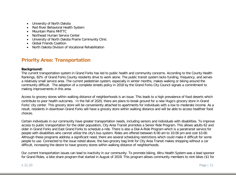- University of North Dakota
- Red River Behavioral Health System
- Mountain Plains MHTTC
- Northeast Human Service Center
- University of North Dakota Prairie Community Clinic
- Global Friends Coalition
- North Dakota Division of Vocational Rehabilitation

# **Priority Area: Transportation**

#### **Background:**

The current transportation system in Grand Forks has led to public health and community concerns. According to the County Health Rankings, 82% of Grand Forks County residents drive to work alone. The public transit system lacks funding, frequency, and serves a relatively small service area. The current pedestrian system, especially in winter months, makes walking or biking around the community difficult. The adoption of a complete streets policy in 2018 by the Grand Forks City Council signals a commitment to making improvements in this area.

Access to grocery stores within walking distance of neighborhoods is an issue. This leads to a high prevalence of food deserts which contribute to poor health outcomes. In the fall of 2020, there are plans to break ground for a new Hugo's grocery store in Grand Forks' city center. This grocery store will be conveniently attached to apartments for individuals with a low to moderate income. As a result, residents in downtown Grand Forks will have a grocery store within walking distance and will be able to access healthier food choices.

Certain individuals in our community have greater transportation needs, including seniors and individuals with disabilities. To improve access to public transportation for the older population, City Area Transit promotes a Senior Ride Program. This allows adults 62 and older in Grand Forks and East Grand Forks to schedule a ride. There is also a Dial-A-Ride Program which is a paratransit service for people with disabilities who cannot utilize the city's bus system. Rides are offered between 6:00 am to 10:00 pm and cost \$3.00. Although these programs address a significant need, there are several scheduling restrictions which could make it difficult for some people to use. Connected to the issue noted above, the two-grocery bag limit for City Area Transit makes shopping without a car difficult, increasing the desire to have grocery stores within walking distance of neighborhoods.

Our current transportation issues can lead to inactivity in our community. To promote biking, Altru Health System was a lead sponsor for Grand Rides, a bike share program that started in August of 2019. This program allows community members to rent bikes (\$1 for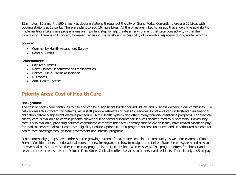15 minutes, \$5 a month, \$60 a year) at docking stations throughout the city of Grand Forks. Currently, there are 55 bikes with docking stations at 13 parks. There are plans to add 16 more bikes. All the bikes are linked to an app that shows bike availability. Implementing a bike share program was an important step to help create an environment that promotes activity within the community. There is still concern, however, regarding the safety and accessibility of sidewalks, especially during winter months.

#### **Source:**

- Community Health Assessment Survey
- Census Bureau

#### **Stakeholders:**

- City Area Transit
- North Dakota Department of Transportation
- Dakota Public Transit Association
- ND Moves
- Altru Health System

# **Priority Area: Cost of Health Care**

#### **Background:**

The cost of health care continues to rise and can be a significant burden for individuals and business owners in our community. To help address this concern for patients, Altru staff provide estimates of costs for services so patients can understand their financial obligation before a significant elective procedure. Altru Health System also offers many financial assistance programs. For example, charity care is available to certain patients allowing full or partial discounts for services deemed medically necessary. Community care is also available, providing patients coordinated care from their Altru primary care physician if they have limited means to pay for medical services. Altru's Healthcare Eligibility Reduce Options (HERO) program screens uninsured and underinsured patients for health care coverage through local government and internal programs.

Other community groups have addressed the growing burden of health care costs in our community as well. For example, Global Friends Coalition offers an educational course to new immigrants on how to navigate the United States health system and how to receive health insurance. Another community program is the North Dakota Women's Way. This program offers free breast and cervical cancer screens in North Dakota. Third Street Clinic also offers services to underserved residents. There is only a \$5 co-pay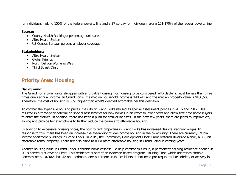for individuals making 150% of the federal poverty line and a \$7 co-pay for individual making 151-170% of the federal poverty line.

#### **Source:**

- County Health Rankings: percentage uninsured
- Altru Health System
- US Census Bureau: percent employer coverage

#### **Stakeholders:**

- Altru Health System
- Global Friends
- North Dakota Women's Way
- Third Street Clinic

# **Priority Area: Housing**

#### **Background:**

The Grand Forks community struggles with affordable housing. For housing to be considered "affordable" it must be less than three times one's annual income. In Grand Forks, the median household income is \$48,241 and the median property value is \$186,500. Therefore, the cost of housing is 30% higher than what's deemed affordable per this definition.

To combat the expensive housing prices, the City of Grand Forks revised its special assessment policies in 2016 and 2017. This resulted in a three-year deferral on special assessments for new homes in an effort to lower costs and allow first-time home buyers to enter the market. In addition, there has been a push for smaller lot sizes. In the next few years, there are plans to improve city zoning and provide tax exemptions to further reduce the barriers to affordable housing.

In addition to expensive housing prices, the cost to rent properties in Grand Forks has increased despite stagnant wages. In response to this, there has been an increase the availability of low-income housing in the community. There are currently 39 low income apartment buildings in Grand Forks. In 2019, the Community Development Block Grant restored Riverside Manor, a 38-unit affordable rental property. There are also plans to build more affordable housing in Grand Forks in coming years.

Another housing issue in Grand Forks is chronic homelessness. To help combat this issue, a permanent housing residence opened in 2018 named "LaGrave on First". This residence is part of an evidence-based program, Housing First, which addresses chronic homelessness. LaGrave has 42 one-bedroom, one-bathroom units. Residents do not need pre-requisites like sobriety or actively in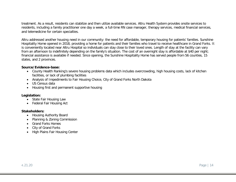treatment. As a result, residents can stabilize and then utilize available services. Altru Health System provides onsite services to residents, including a family practitioner one day a week, a full-time RN case manager, therapy services, medical financial services, and telemedicine for certain specialties.

Altru addressed another housing need in our community: the need for affordable, temporary housing for patients' families. Sunshine Hospitality Home opened in 2018, providing a home for patients and their families who travel to receive healthcare in Grand Forks. It is conveniently located near Altru Hospital so individuals can stay close to their loved ones. Length of stay at the facility can vary from an afternoon to indefinitely depending on the family's situation. The cost of an overnight stay is affordable at \$40 per night; financial assistance is available if needed. Since opening, the Sunshine Hospitality Home has served people from 56 counties, 15 states, and 2 provinces.

#### **Source/Evidence-base:**

- County Health Ranking's severe housing problems data which includes overcrowding, high housing costs, lack of kitchen facilities, or lack of plumbing facilities
- Analysis of Impediments to Fair Housing Choice, City of Grand Forks North Dakota
- US Census data
- Housing first and permanent supportive housing

#### **Legislation:**

- State Fair Housing Law
- Federal Fair Housing Act

#### **Stakeholders:**

- Housing Authority Board
- Planning & Zoning Commission
- Grand Forks Homes
- City of Grand Forks
- High Plains Fair Housing Center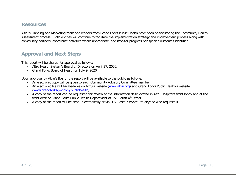### **Resources**

Altru's Planning and Marketing team and leaders from Grand Forks Public Health have been co-facilitating the Community Health Assessment process. Both entities will continue to facilitate the implementation strategy and improvement process along with community partners, coordinate activities where appropriate, and monitor progress per specific outcomes identified.

### **Approval and Next Steps**

This report will be shared for approval as follows:

- » Altru Health System's Board of Directors on April 27, 2020.
- » Grand Forks Board of Health on July 9, 2020.

Upon approval by Altru's Board, the report will be available to the public as follows:

- » An electronic copy will be given to each Community Advisory Committee member.
- » An electronic file will be available on Altru's website [\(www.altru.org\)](http://www.altru.org/) and Grand Forks Public Health's website [\(www.grandforksgov.com/publichealth\)](http://www.grandforksgov.com/publichealth).
- » A copy of the report can be requested for review at the information desk located in Altru Hospital's front lobby and at the front desk of Grand Forks Public Health Department at 151 South 4<sup>th</sup> Street.
- » A copy of the report will be sent—electronically or via U.S. Postal Service—to anyone who requests it.